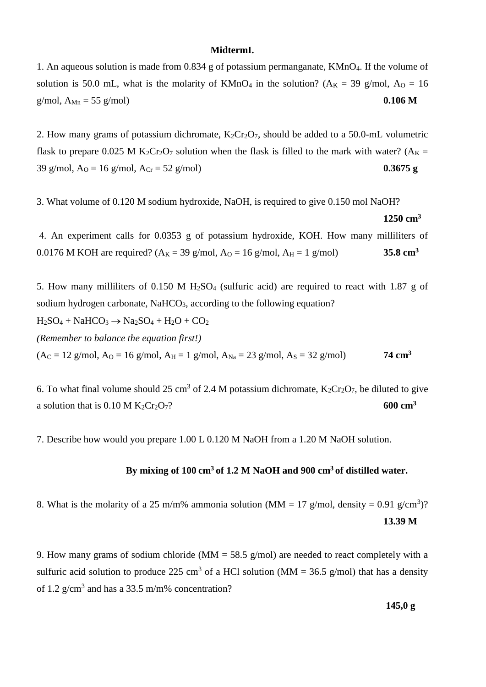### **MidtermI.**

1. An aqueous solution is made from 0.834 g of potassium permanganate, KMnO4. If the volume of solution is 50.0 mL, what is the molarity of KMnO<sub>4</sub> in the solution? ( $A_K = 39$  g/mol,  $A_O = 16$ ) g/mol,  $A_{Mn} = 55$  g/mol) **0.106 M** 

2. How many grams of potassium dichromate,  $K_2Cr_2O_7$ , should be added to a 50.0-mL volumetric flask to prepare 0.025 M K<sub>2</sub>Cr<sub>2</sub>O<sub>7</sub> solution when the flask is filled to the mark with water? ( $A<sub>K</sub>$  = 39 g/mol,  $A_0 = 16$  g/mol,  $A_{Cr} = 52$  g/mol) **0.3675 g** 

3. What volume of 0.120 M sodium hydroxide, NaOH, is required to give 0.150 mol NaOH?

#### **1250 cm<sup>3</sup>**

4. An experiment calls for 0.0353 g of potassium hydroxide, KOH. How many milliliters of 0.0176 M KOH are required?  $(A_K = 39 \text{ g/mol}, A_0 = 16 \text{ g/mol}, A_H = 1 \text{ g/mol})$  **35.8 cm<sup>3</sup>** 

5. How many milliliters of 0.150 M  $H<sub>2</sub>SO<sub>4</sub>$  (sulfuric acid) are required to react with 1.87 g of sodium hydrogen carbonate, NaHCO<sub>3</sub>, according to the following equation?  $H_2SO_4 + NaHCO_3 \rightarrow Na_2SO_4 + H_2O + CO_2$ *(Remember to balance the equation first!)*  $(A<sub>C</sub> = 12$  g/mol,  $A<sub>O</sub> = 16$  g/mol,  $A<sub>H</sub> = 1$  g/mol,  $A<sub>Na</sub> = 23$  g/mol,  $A<sub>S</sub> = 32$  g/mol) **74 cm<sup>3</sup>** 

6. To what final volume should 25 cm<sup>3</sup> of 2.4 M potassium dichromate,  $K_2Cr_2O_7$ , be diluted to give a solution that is  $0.10 M K_2Cr_2O_7$ ? **600 cm<sup>3</sup>** 

7. Describe how would you prepare 1.00 L 0.120 M NaOH from a 1.20 M NaOH solution.

## **By mixing of 100 cm<sup>3</sup> of 1.2 M NaOH and 900 cm<sup>3</sup> of distilled water.**

8. What is the molarity of a 25 m/m% ammonia solution (MM = 17 g/mol, density = 0.91 g/cm<sup>3</sup>)? **13.39 M**

9. How many grams of sodium chloride (MM = 58.5 g/mol) are needed to react completely with a sulfuric acid solution to produce 225 cm<sup>3</sup> of a HCl solution (MM = 36.5 g/mol) that has a density of 1.2  $g/cm<sup>3</sup>$  and has a 33.5 m/m% concentration?

**145,0 g**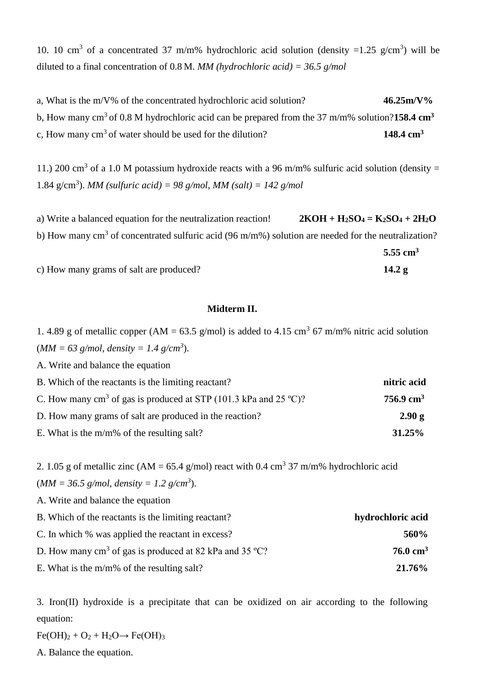10. 10 cm<sup>3</sup> of a concentrated 37 m/m% hydrochloric acid solution (density =1.25 g/cm<sup>3</sup>) will be diluted to a final concentration of 0.8 M. *MM (hydrochloric acid) = 36.5 g/mol*

a, What is the m/V% of the concentrated hydrochloric acid solution? **46.25m/V%** b, How many cm<sup>3</sup>of 0.8 M hydrochloric acid can be prepared from the 37 m/m% solution?**158.4 cm<sup>3</sup>** c, How many  $\text{cm}^3$  of water should be used for the dilution? **148.4 cm**<sup>3</sup>

11.) 200 cm<sup>3</sup> of a 1.0 M potassium hydroxide reacts with a 96 m/m% sulfuric acid solution (density = 1.84 g/cm<sup>3</sup>). *MM* (sulfuric acid) = 98 g/mol, *MM* (salt) = 142 g/mol

a) Write a balanced equation for the neutralization reaction! **2KOH + H2SO<sup>4</sup> = K2SO<sup>4</sup> + 2H2O** b) How many cm<sup>3</sup> of concentrated sulfuric acid (96 m/m%) solution are needed for the neutralization? **5.55 cm<sup>3</sup>**

c) How many grams of salt are produced? **14.2 g**

# **Midterm II.**

1. 4.89 g of metallic copper (AM = 63.5 g/mol) is added to 4.15 cm<sup>3</sup> 67 m/m% nitric acid solution  $(MM = 63$  g/mol, density = 1.4 g/cm<sup>3</sup>).

A. Write and balance the equation

| B. Which of the reactants is the limiting reactant?                          | nitric acid          |
|------------------------------------------------------------------------------|----------------------|
| C. How many cm <sup>3</sup> of gas is produced at STP (101.3 kPa and 25 °C)? | $756.9 \text{ cm}^3$ |
| D. How many grams of salt are produced in the reaction?                      | 2.90 g               |
| E. What is the $m/m\%$ of the resulting salt?                                | $31.25\%$            |

2. 1.05 g of metallic zinc (AM = 65.4 g/mol) react with 0.4 cm<sup>3</sup> 37 m/m% hydrochloric acid  $(MM = 36.5 \text{ g/mol}, density = 1.2 \text{ g/cm}^3).$ 

A. Write and balance the equation

| B. Which of the reactants is the limiting reactant?               | hydrochloric acid   |
|-------------------------------------------------------------------|---------------------|
| C. In which % was applied the reactant in excess?                 | 560%                |
| D. How many $\text{cm}^3$ of gas is produced at 82 kPa and 35 °C? | $76.0 \text{ cm}^3$ |
| E. What is the $m/m\%$ of the resulting salt?                     | 21.76%              |

3. Iron(II) hydroxide is a precipitate that can be oxidized on air according to the following equation:

 $Fe(OH)<sub>2</sub> + O<sub>2</sub> + H<sub>2</sub>O \rightarrow Fe(OH)<sub>3</sub>$ 

A. Balance the equation.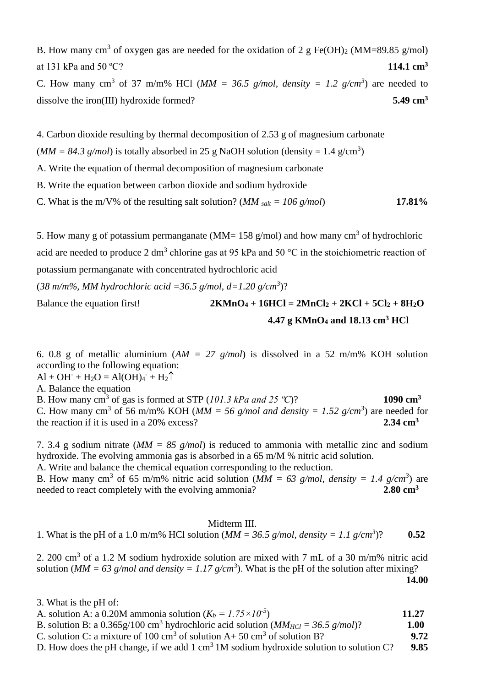B. How many cm<sup>3</sup> of oxygen gas are needed for the oxidation of 2 g Fe(OH)<sub>2</sub> (MM=89.85 g/mol) at 131 kPa and 50 ºC? **114.1 cm<sup>3</sup>**

C. How many cm<sup>3</sup> of 37 m/m% HCl ( $MM = 36.5$  g/mol, density = 1.2 g/cm<sup>3</sup>) are needed to dissolve the iron(III) hydroxide formed? **5.49 cm<sup>3</sup>** 

4. Carbon dioxide resulting by thermal decomposition of 2.53 g of magnesium carbonate

 $(MM = 84.3 \text{ g/mol})$  is totally absorbed in 25 g NaOH solution (density = 1.4 g/cm<sup>3</sup>)

A. Write the equation of thermal decomposition of magnesium carbonate

B. Write the equation between carbon dioxide and sodium hydroxide

C. What is the m/V% of the resulting salt solution? (*MM salt* =  $106$  g/mol) **17.81%** 

5. How many g of potassium permanganate (MM= 158 g/mol) and how many  $cm<sup>3</sup>$  of hydrochloric acid are needed to produce 2 dm<sup>3</sup> chlorine gas at 95 kPa and 50 °C in the stoichiometric reaction of potassium permanganate with concentrated hydrochloric acid

 $(38 \text{ m/m\%}, \text{MM}$  hydrochloric acid = 36.5 g/mol, d=1.20 g/cm<sup>3</sup>)?

Balance the equation first!<br>  $2KMnO_4 + 16HCl = 2MnCl_2 + 2KCl + 5Cl_2 + 8H_2O$ **4.47 g KMnO<sup>4</sup> and 18.13 cm<sup>3</sup> HCl**

6. 0.8 g of metallic aluminium (*AM = 27 g/mol*) is dissolved in a 52 m/m% KOH solution according to the following equation:

 $AI + OH^- + H_2O = Al(OH)_{4}^- + H_2$ 

A. Balance the equation

B. How many  $\text{cm}^3$  of gas is formed at STP (101.3 kPa and 25 °C)? **1090 cm**<sup>3</sup> C. How many cm<sup>3</sup> of 56 m/m% KOH ( $MM = 56$  g/mol and density = 1.52 g/cm<sup>3</sup>) are needed for the reaction if it is used in a 20% excess? **2.34 cm<sup>3</sup>**

7. 3.4 g sodium nitrate (*MM = 85 g/mol*) is reduced to ammonia with metallic zinc and sodium hydroxide. The evolving ammonia gas is absorbed in a 65 m/M % nitric acid solution. A. Write and balance the chemical equation corresponding to the reduction.

B. How many cm<sup>3</sup> of 65 m/m% nitric acid solution ( $MM = 63$  g/mol, density = 1.4 g/cm<sup>3</sup>) are needed to react completely with the evolving ammonia? **2.80 cm<sup>3</sup>** 

# Midterm III.

1. What is the pH of a 1.0 m/m% HCl solution ( $MM = 36.5$  g/mol, density = 1.1 g/cm<sup>3</sup>)? )? **0.52**

2. 200 cm<sup>3</sup> of a 1.2 M sodium hydroxide solution are mixed with 7 mL of a 30 m/m% nitric acid solution ( $MM = 63$  g/mol and density = 1.17 g/cm<sup>3</sup>). What is the pH of the solution after mixing?

**14.00**

3. What is the pH of:

| A. solution A: a 0.20M ammonia solution $(K_b = 1.75 \times 10^{-5})$                                          | 11.27 |
|----------------------------------------------------------------------------------------------------------------|-------|
| B. solution B: a $0.365g/100 \text{ cm}^3$ hydrochloric acid solution ( <i>MM<sub>HCl</sub></i> = 36.5 g/mol)? | 1.00  |
| C. solution C: a mixture of 100 cm <sup>3</sup> of solution A+ 50 cm <sup>3</sup> of solution B?               | 9.72  |
| D. How does the pH change, if we add $1 \text{ cm}^3$ 1M sodium hydroxide solution to solution C?              | 9.85  |